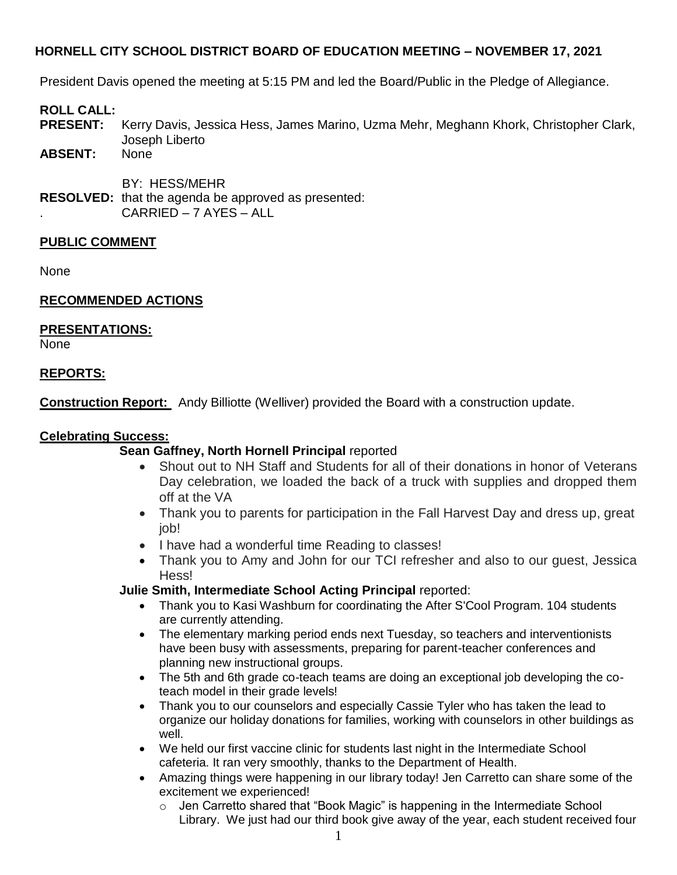President Davis opened the meeting at 5:15 PM and led the Board/Public in the Pledge of Allegiance.

## **ROLL CALL:**

- **PRESENT:** Kerry Davis, Jessica Hess, James Marino, Uzma Mehr, Meghann Khork, Christopher Clark, Joseph Liberto
- ABSENT:

BY: HESS/MEHR

**RESOLVED:** that the agenda be approved as presented: . CARRIED – 7 AYES – ALL

## **PUBLIC COMMENT**

None

## **RECOMMENDED ACTIONS**

## **PRESENTATIONS:**

None

## **REPORTS:**

**Construction Report:** Andy Billiotte (Welliver) provided the Board with a construction update.

## **Celebrating Success:**

## **Sean Gaffney, North Hornell Principal** reported

- Shout out to NH Staff and Students for all of their donations in honor of Veterans Day celebration, we loaded the back of a truck with supplies and dropped them off at the VA
- Thank you to parents for participation in the Fall Harvest Day and dress up, great job!
- I have had a wonderful time Reading to classes!
- Thank you to Amy and John for our TCI refresher and also to our guest, Jessica Hess!

## **Julie Smith, Intermediate School Acting Principal** reported:

- Thank you to Kasi Washburn for coordinating the After S'Cool Program. 104 students are currently attending.
- The elementary marking period ends next Tuesday, so teachers and interventionists have been busy with assessments, preparing for parent-teacher conferences and planning new instructional groups.
- The 5th and 6th grade co-teach teams are doing an exceptional job developing the coteach model in their grade levels!
- Thank you to our counselors and especially Cassie Tyler who has taken the lead to organize our holiday donations for families, working with counselors in other buildings as well.
- We held our first vaccine clinic for students last night in the Intermediate School cafeteria. It ran very smoothly, thanks to the Department of Health.
- Amazing things were happening in our library today! Jen Carretto can share some of the excitement we experienced!
	- $\circ$  Jen Carretto shared that "Book Magic" is happening in the Intermediate School Library. We just had our third book give away of the year, each student received four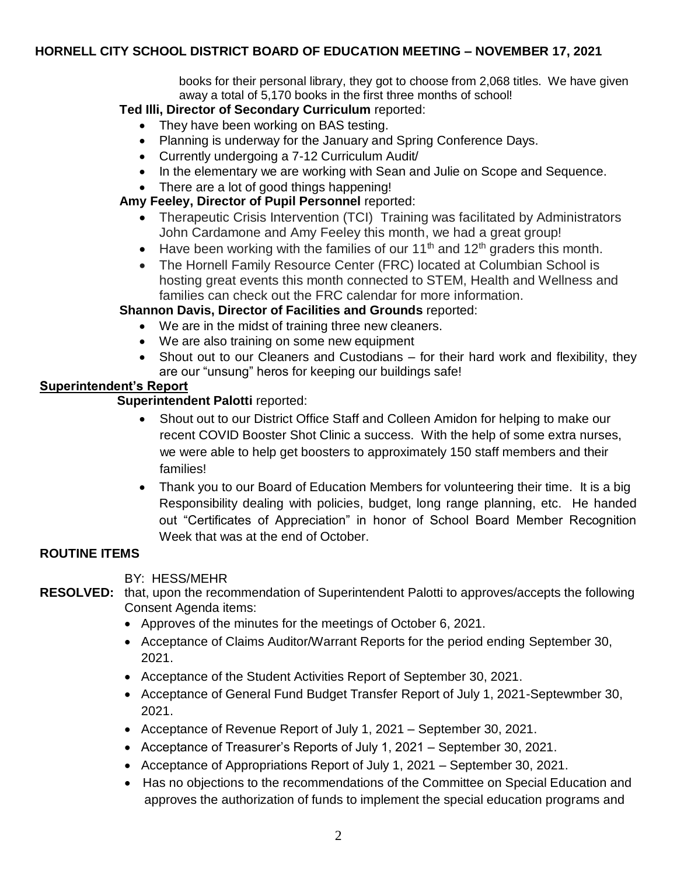books for their personal library, they got to choose from 2,068 titles. We have given away a total of 5,170 books in the first three months of school!

## **Ted Illi, Director of Secondary Curriculum** reported:

- They have been working on BAS testing.
- Planning is underway for the January and Spring Conference Days.
- Currently undergoing a 7-12 Curriculum Audit/
- In the elementary we are working with Sean and Julie on Scope and Sequence.
- There are a lot of good things happening!

## **Amy Feeley, Director of Pupil Personnel** reported:

- Therapeutic Crisis Intervention (TCI) Training was facilitated by Administrators John Cardamone and Amy Feeley this month, we had a great group!
- Have been working with the families of our  $11<sup>th</sup>$  and  $12<sup>th</sup>$  graders this month.
- The Hornell Family Resource Center (FRC) located at Columbian School is hosting great events this month connected to STEM, Health and Wellness and families can check out the FRC calendar for more information.

# **Shannon Davis, Director of Facilities and Grounds** reported:

- We are in the midst of training three new cleaners.
- We are also training on some new equipment
- Shout out to our Cleaners and Custodians for their hard work and flexibility, they are our "unsung" heros for keeping our buildings safe!

# **Superintendent's Report**

# **Superintendent Palotti** reported:

- Shout out to our District Office Staff and Colleen Amidon for helping to make our recent COVID Booster Shot Clinic a success. With the help of some extra nurses, we were able to help get boosters to approximately 150 staff members and their families!
- Thank you to our Board of Education Members for volunteering their time. It is a big Responsibility dealing with policies, budget, long range planning, etc. He handed out "Certificates of Appreciation" in honor of School Board Member Recognition Week that was at the end of October.

# **ROUTINE ITEMS**

## BY: HESS/MEHR

# **RESOLVED:** that, upon the recommendation of Superintendent Palotti to approves/accepts the following Consent Agenda items:

- Approves of the minutes for the meetings of October 6, 2021.
- Acceptance of Claims Auditor/Warrant Reports for the period ending September 30, 2021.
- Acceptance of the Student Activities Report of September 30, 2021.
- Acceptance of General Fund Budget Transfer Report of July 1, 2021-Septewmber 30, 2021.
- Acceptance of Revenue Report of July 1, 2021 September 30, 2021.
- Acceptance of Treasurer's Reports of July 1, 2021 September 30, 2021.
- Acceptance of Appropriations Report of July 1, 2021 September 30, 2021.
- Has no objections to the recommendations of the Committee on Special Education and approves the authorization of funds to implement the special education programs and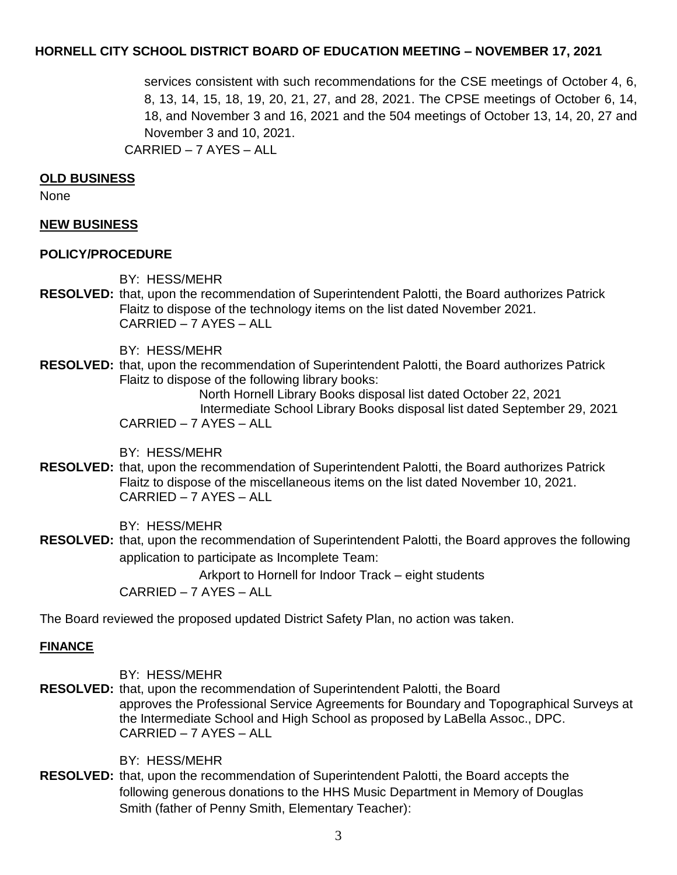services consistent with such recommendations for the CSE meetings of October 4, 6, 8, 13, 14, 15, 18, 19, 20, 21, 27, and 28, 2021. The CPSE meetings of October 6, 14, 18, and November 3 and 16, 2021 and the 504 meetings of October 13, 14, 20, 27 and November 3 and 10, 2021. CARRIED – 7 AYES – ALL

#### **OLD BUSINESS**

None

## **NEW BUSINESS**

#### **POLICY/PROCEDURE**

BY: HESS/MEHR

**RESOLVED:** that, upon the recommendation of Superintendent Palotti, the Board authorizes Patrick Flaitz to dispose of the technology items on the list dated November 2021. CARRIED – 7 AYES – ALL

BY: HESS/MEHR

**RESOLVED:** that, upon the recommendation of Superintendent Palotti, the Board authorizes Patrick Flaitz to dispose of the following library books:

North Hornell Library Books disposal list dated October 22, 2021 Intermediate School Library Books disposal list dated September 29, 2021 CARRIED – 7 AYES – ALL

BY: HESS/MEHR

**RESOLVED:** that, upon the recommendation of Superintendent Palotti, the Board authorizes Patrick Flaitz to dispose of the miscellaneous items on the list dated November 10, 2021. CARRIED – 7 AYES – ALL

BY: HESS/MEHR

**RESOLVED:** that, upon the recommendation of Superintendent Palotti, the Board approves the following application to participate as Incomplete Team:

Arkport to Hornell for Indoor Track – eight students

CARRIED – 7 AYES – ALL

The Board reviewed the proposed updated District Safety Plan, no action was taken.

#### **FINANCE**

BY: HESS/MEHR

**RESOLVED:** that, upon the recommendation of Superintendent Palotti, the Board approves the Professional Service Agreements for Boundary and Topographical Surveys at the Intermediate School and High School as proposed by LaBella Assoc., DPC. CARRIED – 7 AYES – ALL

BY: HESS/MEHR

**RESOLVED:** that, upon the recommendation of Superintendent Palotti, the Board accepts the following generous donations to the HHS Music Department in Memory of Douglas Smith (father of Penny Smith, Elementary Teacher):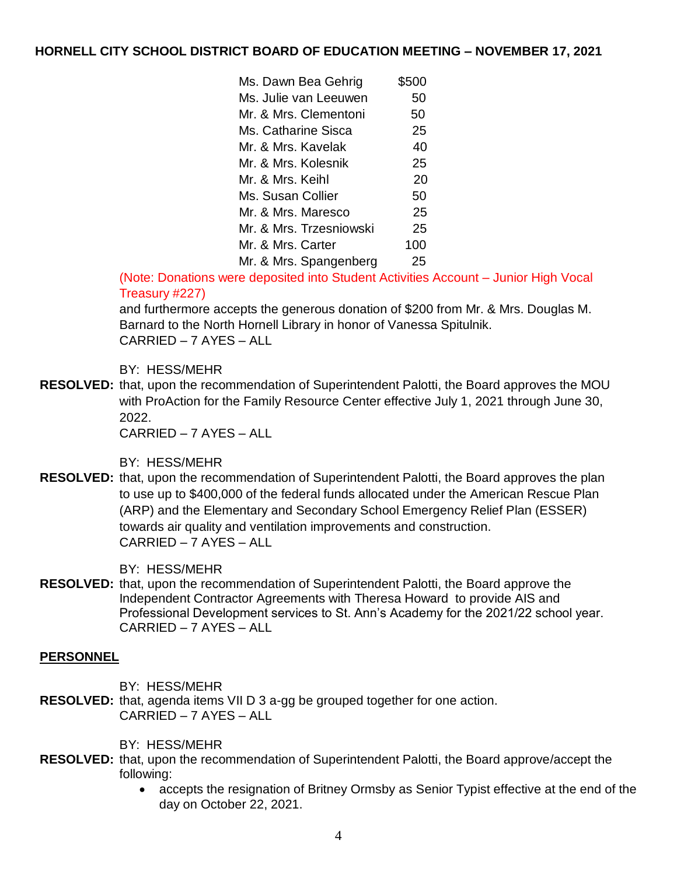| Ms. Dawn Bea Gehrig     | \$500 |
|-------------------------|-------|
| Ms. Julie van Leeuwen   | 50    |
| Mr. & Mrs. Clementoni   | 50    |
| Ms. Catharine Sisca     | 25    |
| Mr. & Mrs. Kavelak      | 40    |
| Mr. & Mrs. Kolesnik     | 25    |
| Mr. & Mrs. Keihl        | 20    |
| Ms. Susan Collier       | 50    |
| Mr. & Mrs. Maresco      | 25    |
| Mr. & Mrs. Trzesniowski | 25    |
| Mr. & Mrs. Carter       | 100   |
| Mr. & Mrs. Spangenberg  | 25    |

(Note: Donations were deposited into Student Activities Account – Junior High Vocal Treasury #227)

and furthermore accepts the generous donation of \$200 from Mr. & Mrs. Douglas M. Barnard to the North Hornell Library in honor of Vanessa Spitulnik. CARRIED – 7 AYES – ALL

## BY: HESS/MEHR

**RESOLVED:** that, upon the recommendation of Superintendent Palotti, the Board approves the MOU with ProAction for the Family Resource Center effective July 1, 2021 through June 30, 2022.

CARRIED – 7 AYES – ALL

BY: HESS/MEHR

**RESOLVED:** that, upon the recommendation of Superintendent Palotti, the Board approves the plan to use up to \$400,000 of the federal funds allocated under the American Rescue Plan (ARP) and the Elementary and Secondary School Emergency Relief Plan (ESSER) towards air quality and ventilation improvements and construction. CARRIED – 7 AYES – ALL

BY: HESS/MEHR

**RESOLVED:** that, upon the recommendation of Superintendent Palotti, the Board approve the Independent Contractor Agreements with Theresa Howard to provide AIS and Professional Development services to St. Ann's Academy for the 2021/22 school year. CARRIED – 7 AYES – ALL

## **PERSONNEL**

BY: HESS/MEHR

**RESOLVED:** that, agenda items VII D 3 a-gg be grouped together for one action. CARRIED – 7 AYES – ALL

BY: HESS/MEHR

- **RESOLVED:** that, upon the recommendation of Superintendent Palotti, the Board approve/accept the following:
	- accepts the resignation of Britney Ormsby as Senior Typist effective at the end of the day on October 22, 2021.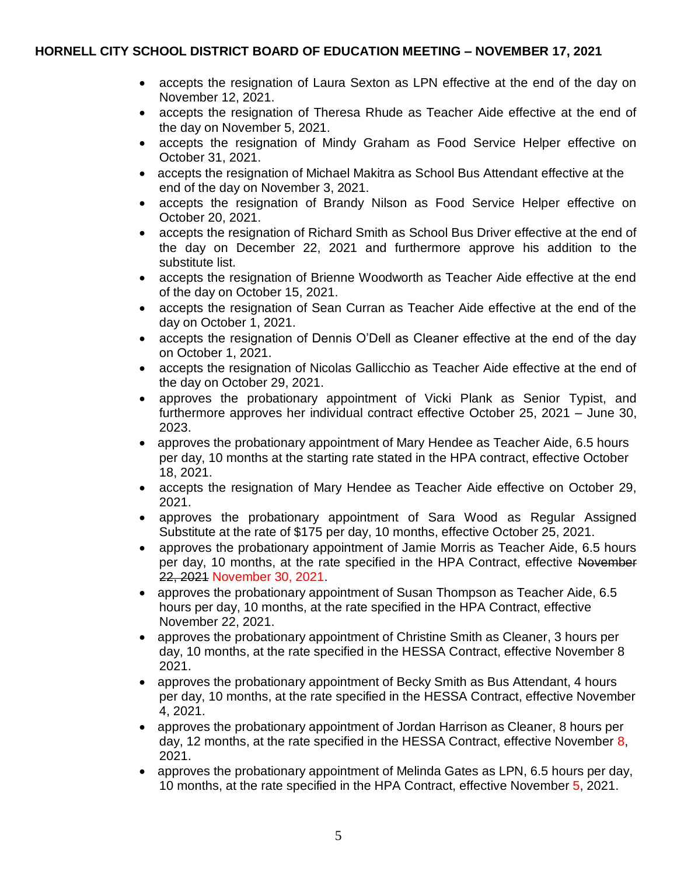- accepts the resignation of Laura Sexton as LPN effective at the end of the day on November 12, 2021.
- accepts the resignation of Theresa Rhude as Teacher Aide effective at the end of the day on November 5, 2021.
- accepts the resignation of Mindy Graham as Food Service Helper effective on October 31, 2021.
- accepts the resignation of Michael Makitra as School Bus Attendant effective at the end of the day on November 3, 2021.
- accepts the resignation of Brandy Nilson as Food Service Helper effective on October 20, 2021.
- accepts the resignation of Richard Smith as School Bus Driver effective at the end of the day on December 22, 2021 and furthermore approve his addition to the substitute list.
- accepts the resignation of Brienne Woodworth as Teacher Aide effective at the end of the day on October 15, 2021.
- accepts the resignation of Sean Curran as Teacher Aide effective at the end of the day on October 1, 2021.
- accepts the resignation of Dennis O'Dell as Cleaner effective at the end of the day on October 1, 2021.
- accepts the resignation of Nicolas Gallicchio as Teacher Aide effective at the end of the day on October 29, 2021.
- approves the probationary appointment of Vicki Plank as Senior Typist, and furthermore approves her individual contract effective October 25, 2021 – June 30, 2023.
- approves the probationary appointment of Mary Hendee as Teacher Aide, 6.5 hours per day, 10 months at the starting rate stated in the HPA contract, effective October 18, 2021.
- accepts the resignation of Mary Hendee as Teacher Aide effective on October 29, 2021.
- approves the probationary appointment of Sara Wood as Regular Assigned Substitute at the rate of \$175 per day, 10 months, effective October 25, 2021.
- approves the probationary appointment of Jamie Morris as Teacher Aide, 6.5 hours per day, 10 months, at the rate specified in the HPA Contract, effective November 22, 2021 November 30, 2021.
- approves the probationary appointment of Susan Thompson as Teacher Aide, 6.5 hours per day, 10 months, at the rate specified in the HPA Contract, effective November 22, 2021.
- approves the probationary appointment of Christine Smith as Cleaner, 3 hours per day, 10 months, at the rate specified in the HESSA Contract, effective November 8 2021.
- approves the probationary appointment of Becky Smith as Bus Attendant, 4 hours per day, 10 months, at the rate specified in the HESSA Contract, effective November 4, 2021.
- approves the probationary appointment of Jordan Harrison as Cleaner, 8 hours per day, 12 months, at the rate specified in the HESSA Contract, effective November 8, 2021.
- approves the probationary appointment of Melinda Gates as LPN, 6.5 hours per day, 10 months, at the rate specified in the HPA Contract, effective November 5, 2021.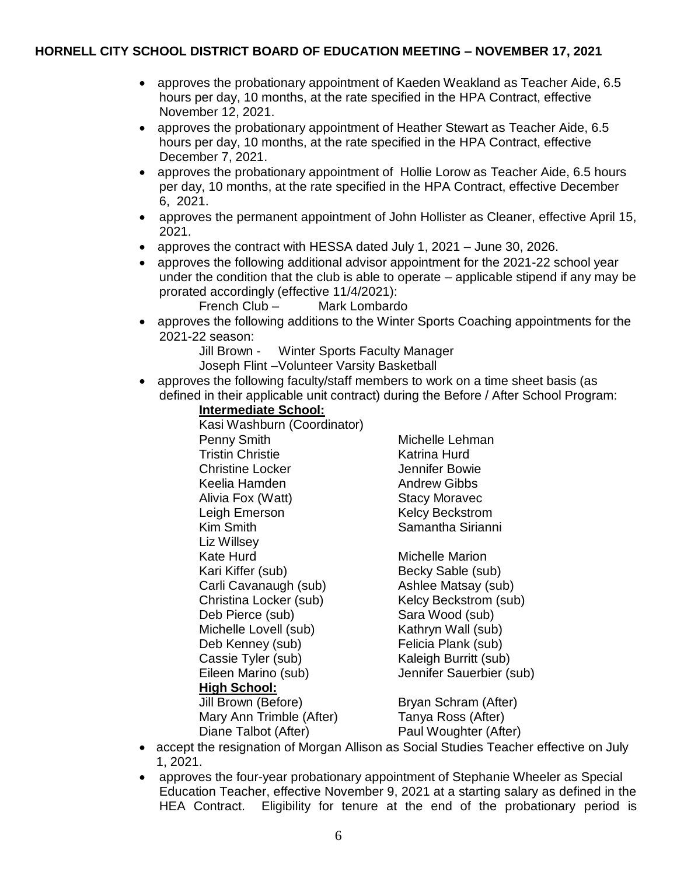- approves the probationary appointment of Kaeden Weakland as Teacher Aide, 6.5 hours per day, 10 months, at the rate specified in the HPA Contract, effective November 12, 2021.
- approves the probationary appointment of Heather Stewart as Teacher Aide, 6.5 hours per day, 10 months, at the rate specified in the HPA Contract, effective December 7, 2021.
- approves the probationary appointment of Hollie Lorow as Teacher Aide, 6.5 hours per day, 10 months, at the rate specified in the HPA Contract, effective December 6, 2021.
- approves the permanent appointment of John Hollister as Cleaner, effective April 15, 2021.
- approves the contract with HESSA dated July 1, 2021 June 30, 2026.
- approves the following additional advisor appointment for the 2021-22 school year under the condition that the club is able to operate – applicable stipend if any may be prorated accordingly (effective 11/4/2021):

French Club – Mark Lombardo

- approves the following additions to the Winter Sports Coaching appointments for the 2021-22 season:
	- Jill Brown Winter Sports Faculty Manager
	- Joseph Flint –Volunteer Varsity Basketball
- approves the following faculty/staff members to work on a time sheet basis (as defined in their applicable unit contract) during the Before / After School Program:
	- **Intermediate School:**

Kasi Washburn (Coordinator) Penny Smith Michelle Lehman Tristin Christie Katrina Hurd Christine Locker **Jennifer Bowie** Keelia Hamden Andrew Gibbs Alivia Fox (Watt) Stacy Moravec Leigh Emerson **Kelcy Beckstrom** Kim Smith Samantha Sirianni Liz Willsey Kate Hurd Michelle Marion Kari Kiffer (sub) Becky Sable (sub) Carli Cavanaugh (sub) Ashlee Matsay (sub) Christina Locker (sub) Kelcy Beckstrom (sub) Deb Pierce (sub) Sara Wood (sub) Michelle Lovell (sub) Kathryn Wall (sub) Deb Kenney (sub) Felicia Plank (sub) Cassie Tyler (sub) Kaleigh Burritt (sub) Eileen Marino (sub) Jennifer Sauerbier (sub) **High School:** Jill Brown (Before) Bryan Schram (After) Mary Ann Trimble (After) Tanya Ross (After) Diane Talbot (After) Paul Woughter (After)

- accept the resignation of Morgan Allison as Social Studies Teacher effective on July 1, 2021.
- approves the four-year probationary appointment of Stephanie Wheeler as Special Education Teacher, effective November 9, 2021 at a starting salary as defined in the HEA Contract. Eligibility for tenure at the end of the probationary period is